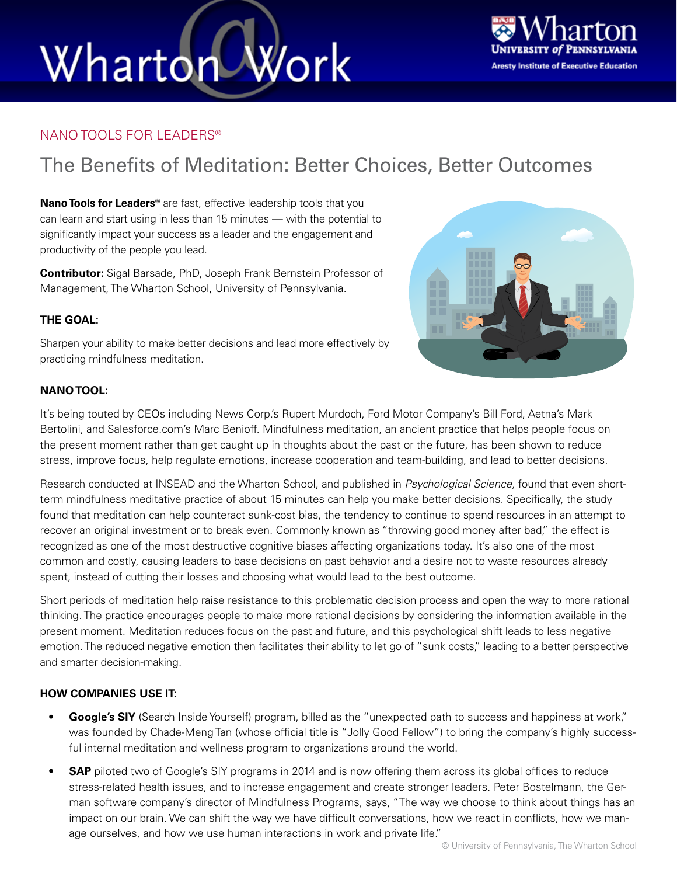# Wharton Work



### NANO TOOLS FOR LEADERS®

### The Benefits of Meditation: Better Choices, Better Outcomes

**Nano Tools for Leaders®** are fast, effective leadership tools that you can learn and start using in less than 15 minutes — with the potential to significantly impact your success as a leader and the engagement and productivity of the people you lead.

**Contributor:** Sigal Barsade, PhD, Joseph Frank Bernstein Professor of Management, The Wharton School, University of Pennsylvania.

### **THE GOAL:**

Sharpen your ability to make better decisions and lead more effectively by practicing mindfulness meditation.



### **NANO TOOL:**

It's being touted by CEOs including News Corp.'s Rupert Murdoch, Ford Motor Company's Bill Ford, Aetna's Mark Bertolini, and Salesforce.com's Marc Benioff. Mindfulness meditation, an ancient practice that helps people focus on the present moment rather than get caught up in thoughts about the past or the future, has been shown to reduce stress, improve focus, help regulate emotions, increase cooperation and team-building, and lead to better decisions.

Research conducted at INSEAD and the Wharton School, and published in *Psychological Science,* found that even shortterm mindfulness meditative practice of about 15 minutes can help you make better decisions. Specifically, the study found that meditation can help counteract sunk-cost bias, the tendency to continue to spend resources in an attempt to recover an original investment or to break even. Commonly known as "throwing good money after bad," the effect is recognized as one of the most destructive cognitive biases affecting organizations today. It's also one of the most common and costly, causing leaders to base decisions on past behavior and a desire not to waste resources already spent, instead of cutting their losses and choosing what would lead to the best outcome.

Short periods of meditation help raise resistance to this problematic decision process and open the way to more rational thinking. The practice encourages people to make more rational decisions by considering the information available in the present moment. Meditation reduces focus on the past and future, and this psychological shift leads to less negative emotion. The reduced negative emotion then facilitates their ability to let go of "sunk costs," leading to a better perspective and smarter decision-making.

#### **HOW COMPANIES USE IT:**

- **• Google's SIY** (Search Inside Yourself) program, billed as the "unexpected path to success and happiness at work," was founded by Chade-Meng Tan (whose official title is "Jolly Good Fellow") to bring the company's highly successful internal meditation and wellness program to organizations around the world.
- **• SAP** piloted two of Google's SIY programs in 2014 and is now offering them across its global offices to reduce stress-related health issues, and to increase engagement and create stronger leaders. Peter Bostelmann, the German software company's director of Mindfulness Programs, says, "The way we choose to think about things has an impact on our brain. We can shift the way we have difficult conversations, how we react in conflicts, how we manage ourselves, and how we use human interactions in work and private life."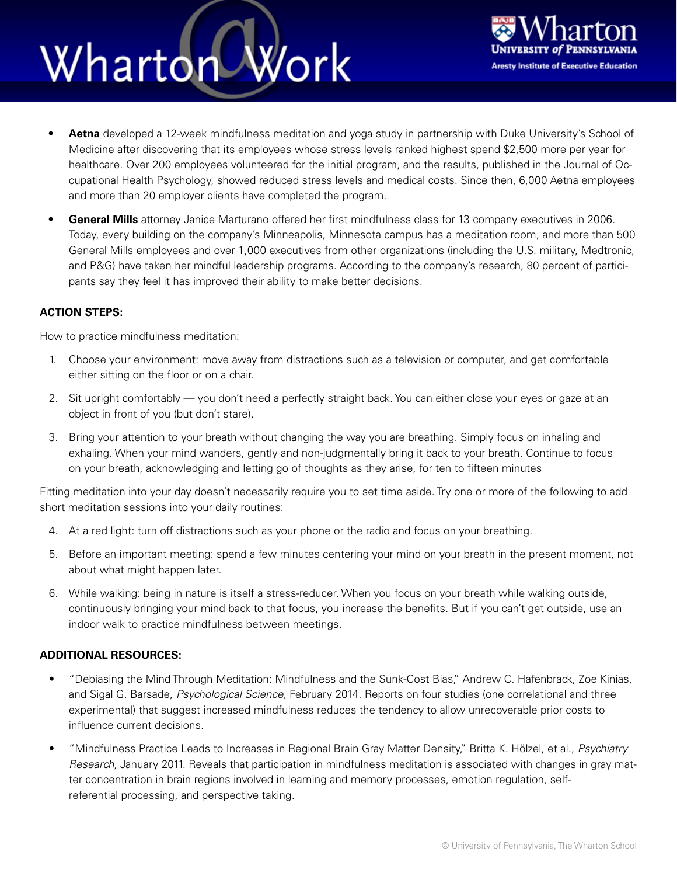## Work Wharton



- **• Aetna** developed a 12-week mindfulness meditation and yoga study in partnership with Duke University's School of Medicine after discovering that its employees whose stress levels ranked highest spend \$2,500 more per year for healthcare. Over 200 employees volunteered for the initial program, and the results, published in the Journal of Occupational Health Psychology, showed reduced stress levels and medical costs. Since then, 6,000 Aetna employees and more than 20 employer clients have completed the program.
- **• General Mills** attorney Janice Marturano offered her first mindfulness class for 13 company executives in 2006. Today, every building on the company's Minneapolis, Minnesota campus has a meditation room, and more than 500 General Mills employees and over 1,000 executives from other organizations (including the U.S. military, Medtronic, and P&G) have taken her mindful leadership programs. According to the company's research, 80 percent of participants say they feel it has improved their ability to make better decisions.

#### **ACTION STEPS:**

How to practice mindfulness meditation:

- 1. Choose your environment: move away from distractions such as a television or computer, and get comfortable either sitting on the floor or on a chair.
- 2. Sit upright comfortably you don't need a perfectly straight back. You can either close your eyes or gaze at an object in front of you (but don't stare).
- 3. Bring your attention to your breath without changing the way you are breathing. Simply focus on inhaling and exhaling. When your mind wanders, gently and non-judgmentally bring it back to your breath. Continue to focus on your breath, acknowledging and letting go of thoughts as they arise, for ten to fifteen minutes

Fitting meditation into your day doesn't necessarily require you to set time aside. Try one or more of the following to add short meditation sessions into your daily routines:

- 4. At a red light: turn off distractions such as your phone or the radio and focus on your breathing.
- 5. Before an important meeting: spend a few minutes centering your mind on your breath in the present moment, not about what might happen later.
- 6. While walking: being in nature is itself a stress-reducer. When you focus on your breath while walking outside, continuously bringing your mind back to that focus, you increase the benefits. But if you can't get outside, use an indoor walk to practice mindfulness between meetings.

#### **ADDITIONAL RESOURCES:**

- "Debiasing the Mind Through Meditation: Mindfulness and the Sunk-Cost Bias," Andrew C. Hafenbrack, Zoe Kinias, and Sigal G. Barsade, *Psychological Science,* February 2014. Reports on four studies (one correlational and three experimental) that suggest increased mindfulness reduces the tendency to allow unrecoverable prior costs to influence current decisions.
- "Mindfulness Practice Leads to Increases in Regional Brain Gray Matter Density," Britta K. Hölzel, et al., *Psychiatry Research,* January 2011. Reveals that participation in mindfulness meditation is associated with changes in gray matter concentration in brain regions involved in learning and memory processes, emotion regulation, selfreferential processing, and perspective taking.